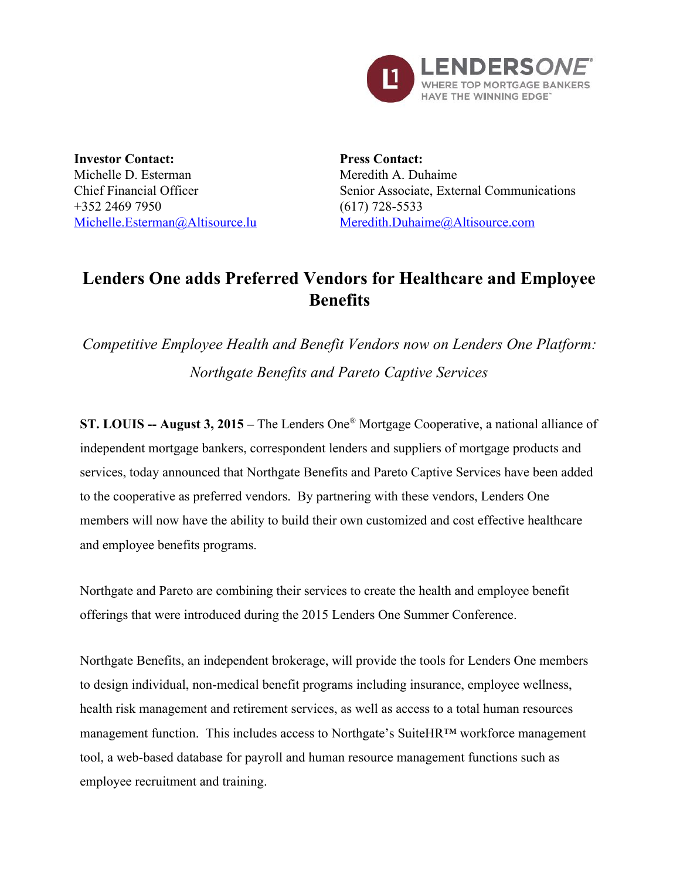

**Investor Contact:** Michelle D. Esterman Chief Financial Officer +352 2469 7950 [Michelle.Esterman@Altisource.lu](mailto:Michelle.Esterman@Altisource.lu)

**Press Contact:** Meredith A. Duhaime Senior Associate, External Communications  $(617)$  728-5533 [Meredith.Duhaime@Altisource.com](mailto:meredith.duhaime@altisource.com)

# **Lenders One adds Preferred Vendors for Healthcare and Employee Benefits**

*Competitive Employee Health and Benefit Vendors now on Lenders One Platform: Northgate Benefits and Pareto Captive Services*

**ST. LOUIS August 3, 2015 –** The Lenders One ® Mortgage Cooperative, a national alliance of independent mortgage bankers, correspondent lenders and suppliers of mortgage products and services, today announced that Northgate Benefits and Pareto Captive Services have been added to the cooperative as preferred vendors. By partnering with these vendors, Lenders One members will now have the ability to build their own customized and cost effective healthcare and employee benefits programs.

Northgate and Pareto are combining their services to create the health and employee benefit offerings that were introduced during the 2015 Lenders One Summer Conference.

Northgate Benefits, an independent brokerage, will provide the tools for Lenders One members to design individual, non-medical benefit programs including insurance, employee wellness, health risk management and retirement services, as well as access to a total human resources management function. This includes access to Northgate's SuiteHR™ workforce management tool, a web-based database for payroll and human resource management functions such as employee recruitment and training.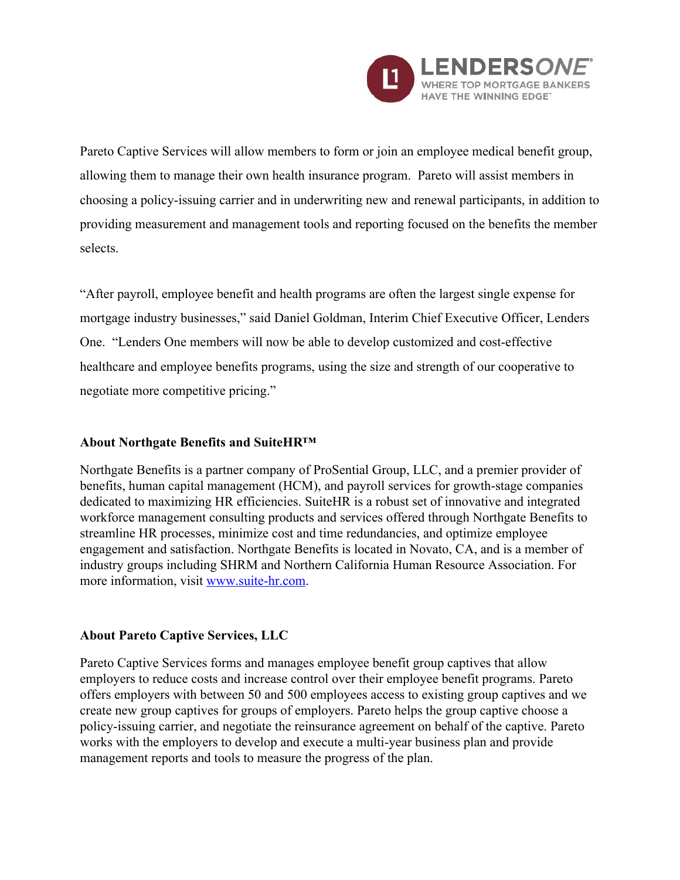

Pareto Captive Services will allow members to form or join an employee medical benefit group, allowing them to manage their own health insurance program. Pareto will assist members in choosing a policy-issuing carrier and in underwriting new and renewal participants, in addition to providing measurement and management tools and reporting focused on the benefits the member selects.

"After payroll, employee benefit and health programs are often the largest single expense for mortgage industry businesses," said Daniel Goldman, Interim Chief Executive Officer, Lenders One. "Lenders One members will now be able to develop customized and cost-effective healthcare and employee benefits programs, using the size and strength of our cooperative to negotiate more competitive pricing."

### **About Northgate Benefits and SuiteHR™**

Northgate Benefits is a partner company of ProSential Group, LLC, and a premier provider of benefits, human capital management (HCM), and payroll services for growth-stage companies dedicated to maximizing HR efficiencies. SuiteHR is a robust set of innovative and integrated workforce management consulting products and services offered through Northgate Benefits to streamline HR processes, minimize cost and time redundancies, and optimize employee engagement and satisfaction. Northgate Benefits is located in Novato, CA, and is a member of industry groups including SHRM and Northern California Human Resource Association. For more information, visit www.suite-hr.com.

### **About Pareto Captive Services, LLC**

Pareto Captive Services forms and manages employee benefit group captives that allow employers to reduce costs and increase control over their employee benefit programs. Pareto offers employers with between 50 and 500 employees access to existing group captives and we create new group captives for groups of employers. Pareto helps the group captive choose a policyissuing carrier, and negotiate the reinsurance agreement on behalf of the captive. Pareto works with the employers to develop and execute a multi-year business plan and provide management reports and tools to measure the progress of the plan.